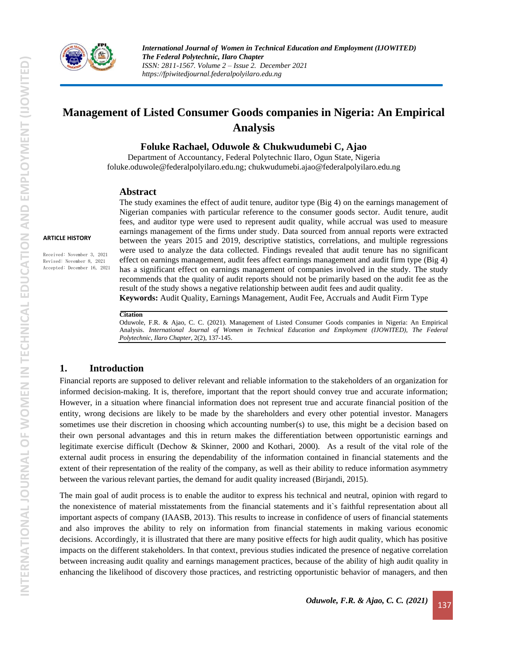

# **Management of Listed Consumer Goods companies in Nigeria: An Empirical Analysis**

**Foluke Rachael, Oduwole & Chukwudumebi C, Ajao**

Department of Accountancy, Federal Polytechnic Ilaro, Ogun State, Nigeria [foluke.oduwole@federalpolyilaro.edu.ng;](mailto:foluke.oduwole@federalpolyilaro.edu.ng) [chukwudumebi.ajao@federalpolyilaro.edu.ng](mailto:chukwudumebi.ajao@federalpolyilaro.edu.ng)

#### **Abstract**

**ARTICLE HISTORY**

Received: November 3, 2021 Revised: November 8, 2021 Accepted: December 16, 2021 The study examines the effect of audit tenure, auditor type (Big 4) on the earnings management of Nigerian companies with particular reference to the consumer goods sector. Audit tenure, audit fees, and auditor type were used to represent audit quality, while accrual was used to measure earnings management of the firms under study. Data sourced from annual reports were extracted between the years 2015 and 2019, descriptive statistics, correlations, and multiple regressions were used to analyze the data collected. Findings revealed that audit tenure has no significant effect on earnings management, audit fees affect earnings management and audit firm type (Big 4) has a significant effect on earnings management of companies involved in the study. The study recommends that the quality of audit reports should not be primarily based on the audit fee as the result of the study shows a negative relationship between audit fees and audit quality. **Keywords:** Audit Quality, Earnings Management, Audit Fee, Accruals and Audit Firm Type

#### **Citation**

Oduwole, F.R. & Ajao, C. C. (2021). Management of Listed Consumer Goods companies in Nigeria: An Empirical Analysis. *International Journal of Women in Technical Education and Employment (IJOWITED), The Federal Polytechnic, Ilaro Chapter*, 2(2), 137-145.

### **1. Introduction**

Financial reports are supposed to deliver relevant and reliable information to the stakeholders of an organization for informed decision-making. It is, therefore, important that the report should convey true and accurate information; However, in a situation where financial information does not represent true and accurate financial position of the entity, wrong decisions are likely to be made by the shareholders and every other potential investor. Managers sometimes use their discretion in choosing which accounting number(s) to use, this might be a decision based on their own personal advantages and this in return makes the differentiation between opportunistic earnings and legitimate exercise difficult (Dechow & Skinner, 2000 and Kothari, 2000). As a result of the vital role of the external audit process in ensuring the dependability of the information contained in financial statements and the extent of their representation of the reality of the company, as well as their ability to reduce information asymmetry between the various relevant parties, the demand for audit quality increased (Birjandi, 2015).

The main goal of audit process is to enable the auditor to express his technical and neutral, opinion with regard to the nonexistence of material misstatements from the financial statements and it`s faithful representation about all important aspects of company (IAASB, 2013). This results to increase in confidence of users of financial statements and also improves the ability to rely on information from financial statements in making various economic decisions. Accordingly, it is illustrated that there are many positive effects for high audit quality, which has positive impacts on the different stakeholders. In that context, previous studies indicated the presence of negative correlation between increasing audit quality and earnings management practices, because of the ability of high audit quality in enhancing the likelihood of discovery those practices, and restricting opportunistic behavior of managers, and then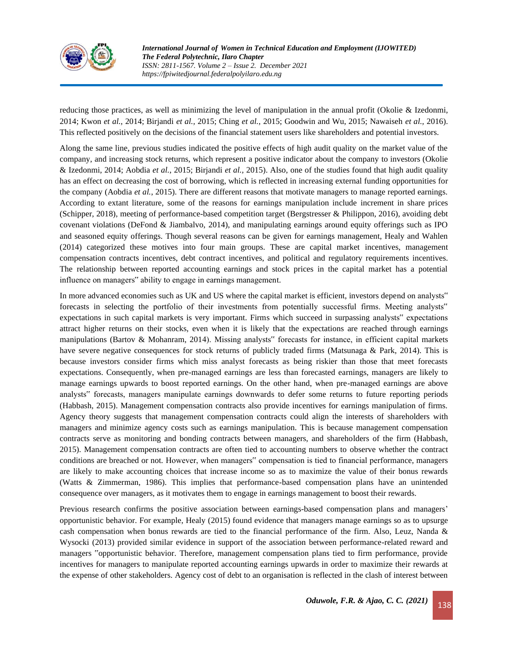

*International Journal of Women in Technical Education and Employment (IJOWITED) The Federal Polytechnic, Ilaro Chapter ISSN: 2811-1567. Volume 2 – Issue 2. December 2021 https://fpiwitedjournal.federalpolyilaro.edu.ng*

reducing those practices, as well as minimizing the level of manipulation in the annual profit (Okolie & Izedonmi, 2014; Kwon *et al.,* 2014; Birjandi *et al.,* 2015; Ching *et al.,* 2015; Goodwin and Wu, 2015; Nawaiseh *et al.,* 2016). This reflected positively on the decisions of the financial statement users like shareholders and potential investors.

Along the same line, previous studies indicated the positive effects of high audit quality on the market value of the company, and increasing stock returns, which represent a positive indicator about the company to investors (Okolie & Izedonmi, 2014; Aobdia *et al.*, 2015; Birjandi *et al.,* 2015). Also, one of the studies found that high audit quality has an effect on decreasing the cost of borrowing, which is reflected in increasing external funding opportunities for the company (Aobdia *et al.*, 2015). There are different reasons that motivate managers to manage reported earnings. According to extant literature, some of the reasons for earnings manipulation include increment in share prices (Schipper, 2018), meeting of performance-based competition target (Bergstresser & Philippon, 2016), avoiding debt covenant violations (DeFond & Jiambalvo, 2014), and manipulating earnings around equity offerings such as IPO and seasoned equity offerings. Though several reasons can be given for earnings management, Healy and Wahlen (2014) categorized these motives into four main groups. These are capital market incentives, management compensation contracts incentives, debt contract incentives, and political and regulatory requirements incentives. The relationship between reported accounting earnings and stock prices in the capital market has a potential influence on managers" ability to engage in earnings management.

In more advanced economies such as UK and US where the capital market is efficient, investors depend on analysts" forecasts in selecting the portfolio of their investments from potentially successful firms. Meeting analysts" expectations in such capital markets is very important. Firms which succeed in surpassing analysts" expectations attract higher returns on their stocks, even when it is likely that the expectations are reached through earnings manipulations (Bartov & Mohanram, 2014). Missing analysts" forecasts for instance, in efficient capital markets have severe negative consequences for stock returns of publicly traded firms (Matsunaga & Park, 2014). This is because investors consider firms which miss analyst forecasts as being riskier than those that meet forecasts expectations. Consequently, when pre-managed earnings are less than forecasted earnings, managers are likely to manage earnings upwards to boost reported earnings. On the other hand, when pre-managed earnings are above analysts" forecasts, managers manipulate earnings downwards to defer some returns to future reporting periods (Habbash, 2015). Management compensation contracts also provide incentives for earnings manipulation of firms. Agency theory suggests that management compensation contracts could align the interests of shareholders with managers and minimize agency costs such as earnings manipulation. This is because management compensation contracts serve as monitoring and bonding contracts between managers, and shareholders of the firm (Habbash, 2015). Management compensation contracts are often tied to accounting numbers to observe whether the contract conditions are breached or not. However, when managers" compensation is tied to financial performance, managers are likely to make accounting choices that increase income so as to maximize the value of their bonus rewards (Watts & Zimmerman, 1986). This implies that performance-based compensation plans have an unintended consequence over managers, as it motivates them to engage in earnings management to boost their rewards.

Previous research confirms the positive association between earnings-based compensation plans and managers' opportunistic behavior. For example, Healy (2015) found evidence that managers manage earnings so as to upsurge cash compensation when bonus rewards are tied to the financial performance of the firm. Also, Leuz, Nanda & Wysocki (2013) provided similar evidence in support of the association between performance-related reward and managers "opportunistic behavior. Therefore, management compensation plans tied to firm performance, provide incentives for managers to manipulate reported accounting earnings upwards in order to maximize their rewards at the expense of other stakeholders. Agency cost of debt to an organisation is reflected in the clash of interest between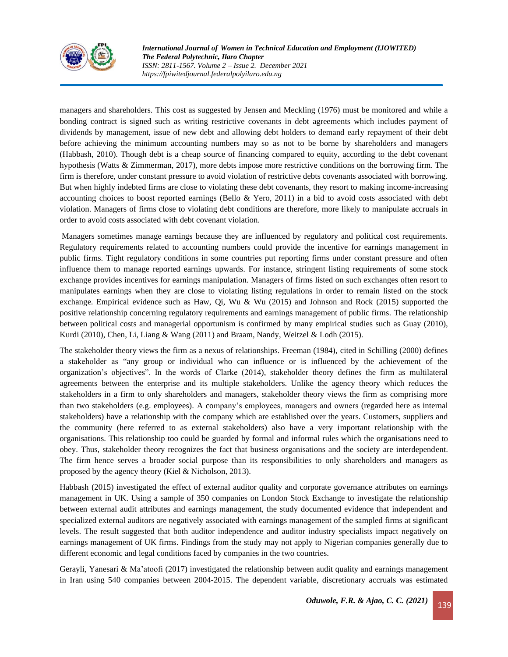

*International Journal of Women in Technical Education and Employment (IJOWITED) The Federal Polytechnic, Ilaro Chapter ISSN: 2811-1567. Volume 2 – Issue 2. December 2021 https://fpiwitedjournal.federalpolyilaro.edu.ng*

managers and shareholders. This cost as suggested by Jensen and Meckling (1976) must be monitored and while a bonding contract is signed such as writing restrictive covenants in debt agreements which includes payment of dividends by management, issue of new debt and allowing debt holders to demand early repayment of their debt before achieving the minimum accounting numbers may so as not to be borne by shareholders and managers (Habbash, 2010). Though debt is a cheap source of financing compared to equity, according to the debt covenant hypothesis (Watts & Zimmerman, 2017), more debts impose more restrictive conditions on the borrowing firm. The firm is therefore, under constant pressure to avoid violation of restrictive debts covenants associated with borrowing. But when highly indebted firms are close to violating these debt covenants, they resort to making income-increasing accounting choices to boost reported earnings (Bello & Yero, 2011) in a bid to avoid costs associated with debt violation. Managers of firms close to violating debt conditions are therefore, more likely to manipulate accruals in order to avoid costs associated with debt covenant violation.

Managers sometimes manage earnings because they are influenced by regulatory and political cost requirements. Regulatory requirements related to accounting numbers could provide the incentive for earnings management in public firms. Tight regulatory conditions in some countries put reporting firms under constant pressure and often influence them to manage reported earnings upwards. For instance, stringent listing requirements of some stock exchange provides incentives for earnings manipulation. Managers of firms listed on such exchanges often resort to manipulates earnings when they are close to violating listing regulations in order to remain listed on the stock exchange. Empirical evidence such as Haw, Qi, Wu & Wu (2015) and Johnson and Rock (2015) supported the positive relationship concerning regulatory requirements and earnings management of public firms. The relationship between political costs and managerial opportunism is confirmed by many empirical studies such as Guay (2010), Kurdi (2010), Chen, Li, Liang & Wang (2011) and Braam, Nandy, Weitzel & Lodh (2015).

The stakeholder theory views the firm as a nexus of relationships. Freeman (1984), cited in Schilling (2000) defines a stakeholder as "any group or individual who can influence or is influenced by the achievement of the organization's objectives". In the words of Clarke (2014), stakeholder theory defines the firm as multilateral agreements between the enterprise and its multiple stakeholders. Unlike the agency theory which reduces the stakeholders in a firm to only shareholders and managers, stakeholder theory views the firm as comprising more than two stakeholders (e.g. employees). A company's employees, managers and owners (regarded here as internal stakeholders) have a relationship with the company which are established over the years. Customers, suppliers and the community (here referred to as external stakeholders) also have a very important relationship with the organisations. This relationship too could be guarded by formal and informal rules which the organisations need to obey. Thus, stakeholder theory recognizes the fact that business organisations and the society are interdependent. The firm hence serves a broader social purpose than its responsibilities to only shareholders and managers as proposed by the agency theory (Kiel & Nicholson, 2013).

Habbash (2015) investigated the effect of external auditor quality and corporate governance attributes on earnings management in UK. Using a sample of 350 companies on London Stock Exchange to investigate the relationship between external audit attributes and earnings management, the study documented evidence that independent and specialized external auditors are negatively associated with earnings management of the sampled firms at significant levels. The result suggested that both auditor independence and auditor industry specialists impact negatively on earnings management of UK firms. Findings from the study may not apply to Nigerian companies generally due to different economic and legal conditions faced by companies in the two countries.

Gerayli, Yanesari & Ma'atoofi (2017) investigated the relationship between audit quality and earnings management in Iran using 540 companies between 2004-2015. The dependent variable, discretionary accruals was estimated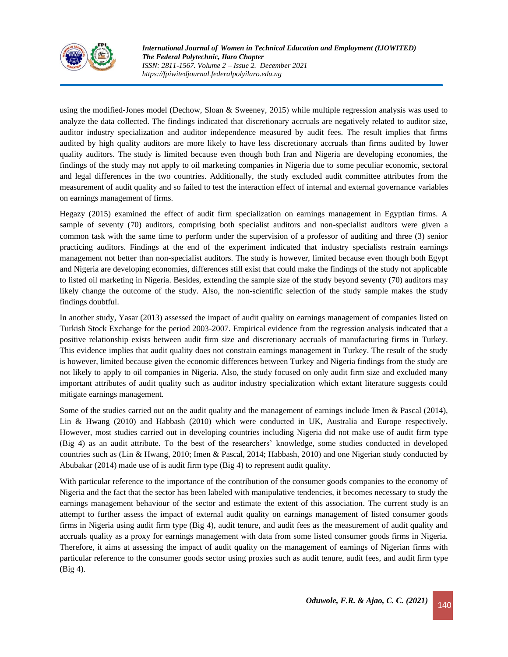

*International Journal of Women in Technical Education and Employment (IJOWITED) The Federal Polytechnic, Ilaro Chapter ISSN: 2811-1567. Volume 2 – Issue 2. December 2021 https://fpiwitedjournal.federalpolyilaro.edu.ng*

using the modified-Jones model (Dechow, Sloan & Sweeney, 2015) while multiple regression analysis was used to analyze the data collected. The findings indicated that discretionary accruals are negatively related to auditor size, auditor industry specialization and auditor independence measured by audit fees. The result implies that firms audited by high quality auditors are more likely to have less discretionary accruals than firms audited by lower quality auditors. The study is limited because even though both Iran and Nigeria are developing economies, the findings of the study may not apply to oil marketing companies in Nigeria due to some peculiar economic, sectoral and legal differences in the two countries. Additionally, the study excluded audit committee attributes from the measurement of audit quality and so failed to test the interaction effect of internal and external governance variables on earnings management of firms.

Hegazy (2015) examined the effect of audit firm specialization on earnings management in Egyptian firms. A sample of seventy (70) auditors, comprising both specialist auditors and non-specialist auditors were given a common task with the same time to perform under the supervision of a professor of auditing and three (3) senior practicing auditors. Findings at the end of the experiment indicated that industry specialists restrain earnings management not better than non-specialist auditors. The study is however, limited because even though both Egypt and Nigeria are developing economies, differences still exist that could make the findings of the study not applicable to listed oil marketing in Nigeria. Besides, extending the sample size of the study beyond seventy (70) auditors may likely change the outcome of the study. Also, the non-scientific selection of the study sample makes the study findings doubtful.

In another study, Yasar (2013) assessed the impact of audit quality on earnings management of companies listed on Turkish Stock Exchange for the period 2003-2007. Empirical evidence from the regression analysis indicated that a positive relationship exists between audit firm size and discretionary accruals of manufacturing firms in Turkey. This evidence implies that audit quality does not constrain earnings management in Turkey. The result of the study is however, limited because given the economic differences between Turkey and Nigeria findings from the study are not likely to apply to oil companies in Nigeria. Also, the study focused on only audit firm size and excluded many important attributes of audit quality such as auditor industry specialization which extant literature suggests could mitigate earnings management.

Some of the studies carried out on the audit quality and the management of earnings include Imen & Pascal (2014), Lin & Hwang (2010) and Habbash (2010) which were conducted in UK, Australia and Europe respectively. However, most studies carried out in developing countries including Nigeria did not make use of audit firm type (Big 4) as an audit attribute. To the best of the researchers' knowledge, some studies conducted in developed countries such as (Lin & Hwang, 2010; Imen & Pascal, 2014; Habbash, 2010) and one Nigerian study conducted by Abubakar (2014) made use of is audit firm type (Big 4) to represent audit quality.

With particular reference to the importance of the contribution of the consumer goods companies to the economy of Nigeria and the fact that the sector has been labeled with manipulative tendencies, it becomes necessary to study the earnings management behaviour of the sector and estimate the extent of this association. The current study is an attempt to further assess the impact of external audit quality on earnings management of listed consumer goods firms in Nigeria using audit firm type (Big 4), audit tenure, and audit fees as the measurement of audit quality and accruals quality as a proxy for earnings management with data from some listed consumer goods firms in Nigeria. Therefore, it aims at assessing the impact of audit quality on the management of earnings of Nigerian firms with particular reference to the consumer goods sector using proxies such as audit tenure, audit fees, and audit firm type (Big 4).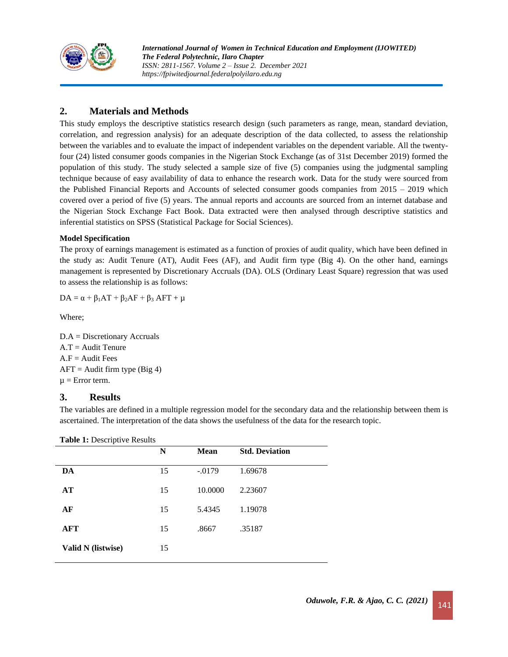

# **2. Materials and Methods**

This study employs the descriptive statistics research design (such parameters as range, mean, standard deviation, correlation, and regression analysis) for an adequate description of the data collected, to assess the relationship between the variables and to evaluate the impact of independent variables on the dependent variable. All the twentyfour (24) listed consumer goods companies in the Nigerian Stock Exchange (as of 31st December 2019) formed the population of this study. The study selected a sample size of five (5) companies using the judgmental sampling technique because of easy availability of data to enhance the research work. Data for the study were sourced from the Published Financial Reports and Accounts of selected consumer goods companies from 2015 – 2019 which covered over a period of five (5) years. The annual reports and accounts are sourced from an internet database and the Nigerian Stock Exchange Fact Book. Data extracted were then analysed through descriptive statistics and inferential statistics on SPSS (Statistical Package for Social Sciences).

### **Model Specification**

The proxy of earnings management is estimated as a function of proxies of audit quality, which have been defined in the study as: Audit Tenure (AT), Audit Fees (AF), and Audit firm type (Big 4). On the other hand, earnings management is represented by Discretionary Accruals (DA). OLS (Ordinary Least Square) regression that was used to assess the relationship is as follows:

 $DA = \alpha + \beta_1AT + \beta_2AF + \beta_3 AFT + \mu$ 

Where;

D.A = Discretionary Accruals  $A.T = Audit Tenure$  $A.F = \text{Audit Fees}$  $AFT =$  Audit firm type (Big 4)  $\mu$  = Error term.

### **3. Results**

The variables are defined in a multiple regression model for the secondary data and the relationship between them is ascertained. The interpretation of the data shows the usefulness of the data for the research topic.

**Table 1:** Descriptive Results

| -                  | N  | <b>Mean</b> | <b>Std. Deviation</b> |
|--------------------|----|-------------|-----------------------|
| DA                 | 15 | $-.0179$    | 1.69678               |
| AT                 | 15 | 10.0000     | 2.23607               |
| AF                 | 15 | 5.4345      | 1.19078               |
| AFT                | 15 | .8667       | .35187                |
| Valid N (listwise) | 15 |             |                       |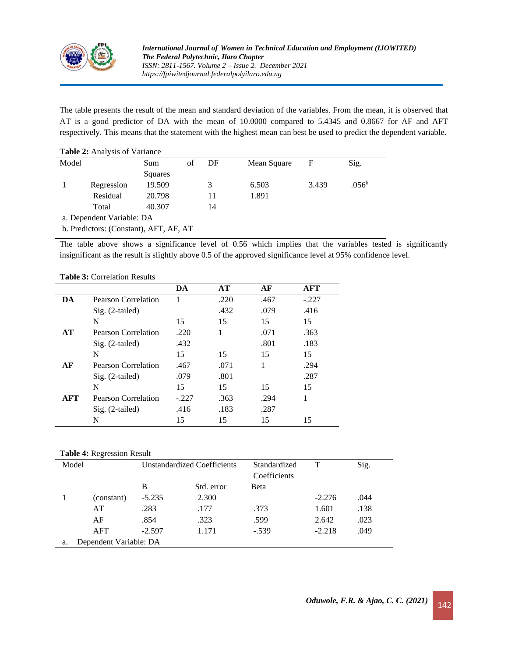

The table presents the result of the mean and standard deviation of the variables. From the mean, it is observed that AT is a good predictor of DA with the mean of 10.0000 compared to 5.4345 and 0.8667 for AF and AFT respectively. This means that the statement with the highest mean can best be used to predict the dependent variable.

#### **Table 2:** Analysis of Variance

| Model                                  |                           | Sum     | of | DF | Mean Square | F     | Sig.              |
|----------------------------------------|---------------------------|---------|----|----|-------------|-------|-------------------|
|                                        |                           | Squares |    |    |             |       |                   |
|                                        | Regression                | 19.509  |    |    | 6.503       | 3.439 | .056 <sup>b</sup> |
|                                        | Residual                  | 20.798  |    | 11 | 1.891       |       |                   |
|                                        | Total                     | 40.307  |    | 14 |             |       |                   |
|                                        | a. Dependent Variable: DA |         |    |    |             |       |                   |
| b. Predictors: (Constant), AFT, AF, AT |                           |         |    |    |             |       |                   |

The table above shows a significance level of 0.56 which implies that the variables tested is significantly insignificant as the result is slightly above 0.5 of the approved significance level at 95% confidence level.

#### **Table 3:** Correlation Results

|            |                     | DA      | AT   | AF   | <b>AFT</b> |
|------------|---------------------|---------|------|------|------------|
| DA         | Pearson Correlation |         | .220 | .467 | $-.227$    |
|            | Sig. (2-tailed)     |         | .432 | .079 | .416       |
|            | N                   | 15      | 15   | 15   | 15         |
| AT         | Pearson Correlation | .220    | 1    | .071 | .363       |
|            | $Sig. (2-tailed)$   | .432    |      | .801 | .183       |
|            | N                   | 15      | 15   | 15   | 15         |
| AF         | Pearson Correlation | .467    | .071 |      | .294       |
|            | Sig. (2-tailed)     | .079    | .801 |      | .287       |
|            | N                   | 15      | 15   | 15   | 15         |
| <b>AFT</b> | Pearson Correlation | $-.227$ | .363 | .294 |            |
|            | $Sig. (2-tailed)$   | .416    | .183 | .287 |            |
|            | N                   | 15      | 15   | 15   | 15         |

#### **Table 4:** Regression Result

| Model | <b>Unstandardized Coefficients</b> |          | Standardized |              | Sig.     |      |  |
|-------|------------------------------------|----------|--------------|--------------|----------|------|--|
|       |                                    |          |              | Coefficients |          |      |  |
|       |                                    | B        | Std. error   | Beta         |          |      |  |
|       | (constant)                         | $-5.235$ | 2.300        |              | $-2.276$ | .044 |  |
|       | AT                                 | .283     | .177         | .373         | 1.601    | .138 |  |
|       | AF                                 | .854     | .323         | .599         | 2.642    | .023 |  |
|       | AFT                                | $-2.597$ | 1.171        | $-.539$      | $-2.218$ | .049 |  |
| a.    | Dependent Variable: DA             |          |              |              |          |      |  |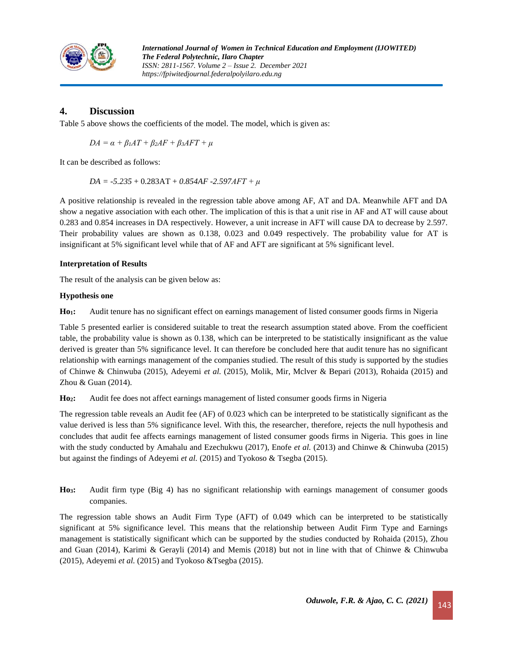

# **4. Discussion**

Table 5 above shows the coefficients of the model. The model, which is given as:

$$
DA = \alpha + \beta_1 AT + \beta_2 AF + \beta_3 AFT + \mu
$$

It can be described as follows:

*DA = -5.235* + 0.283AT + *0.854AF -2.597AFT + μ*

A positive relationship is revealed in the regression table above among AF, AT and DA. Meanwhile AFT and DA show a negative association with each other. The implication of this is that a unit rise in AF and AT will cause about 0.283 and 0.854 increases in DA respectively. However, a unit increase in AFT will cause DA to decrease by 2.597. Their probability values are shown as 0.138, 0.023 and 0.049 respectively. The probability value for AT is insignificant at 5% significant level while that of AF and AFT are significant at 5% significant level.

#### **Interpretation of Results**

The result of the analysis can be given below as:

#### **Hypothesis one**

**Ho1:** Audit tenure has no significant effect on earnings management of listed consumer goods firms in Nigeria

Table 5 presented earlier is considered suitable to treat the research assumption stated above. From the coefficient table, the probability value is shown as 0.138, which can be interpreted to be statistically insignificant as the value derived is greater than 5% significance level. It can therefore be concluded here that audit tenure has no significant relationship with earnings management of the companies studied. The result of this study is supported by the studies of Chinwe & Chinwuba (2015), Adeyemi *et al.* (2015), Molik, Mir, Mclver & Bepari (2013), Rohaida (2015) and Zhou & Guan (2014).

**Ho2:** Audit fee does not affect earnings management of listed consumer goods firms in Nigeria

The regression table reveals an Audit fee (AF) of 0.023 which can be interpreted to be statistically significant as the value derived is less than 5% significance level. With this, the researcher, therefore, rejects the null hypothesis and concludes that audit fee affects earnings management of listed consumer goods firms in Nigeria. This goes in line with the study conducted by Amahalu and Ezechukwu (2017), Enofe *et al.* (2013) and Chinwe & Chinwuba (2015) but against the findings of Adeyemi *et al.* (2015) and Tyokoso & Tsegba (2015).

**Ho3:** Audit firm type (Big 4) has no significant relationship with earnings management of consumer goods companies.

The regression table shows an Audit Firm Type (AFT) of 0.049 which can be interpreted to be statistically significant at 5% significance level. This means that the relationship between Audit Firm Type and Earnings management is statistically significant which can be supported by the studies conducted by Rohaida (2015), Zhou and Guan (2014), Karimi & Gerayli (2014) and Memis (2018) but not in line with that of Chinwe & Chinwuba (2015), Adeyemi *et al.* (2015) and Tyokoso &Tsegba (2015).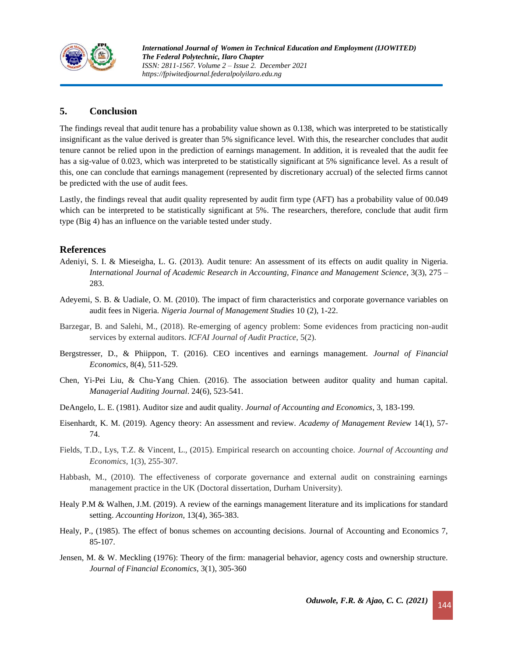

# **5. Conclusion**

The findings reveal that audit tenure has a probability value shown as 0.138, which was interpreted to be statistically insignificant as the value derived is greater than 5% significance level. With this, the researcher concludes that audit tenure cannot be relied upon in the prediction of earnings management. In addition, it is revealed that the audit fee has a sig-value of 0.023, which was interpreted to be statistically significant at 5% significance level. As a result of this, one can conclude that earnings management (represented by discretionary accrual) of the selected firms cannot be predicted with the use of audit fees.

Lastly, the findings reveal that audit quality represented by audit firm type (AFT) has a probability value of 00.049 which can be interpreted to be statistically significant at 5%. The researchers, therefore, conclude that audit firm type (Big 4) has an influence on the variable tested under study.

## **References**

- Adeniyi, S. I. & Mieseigha, L. G. (2013). Audit tenure: An assessment of its effects on audit quality in Nigeria. *International Journal of Academic Research in Accounting, Finance and Management Science*, 3(3), 275 – 283.
- Adeyemi, S. B. & Uadiale, O. M. (2010). The impact of firm characteristics and corporate governance variables on audit fees in Nigeria. *Nigeria Journal of Management Studies* 10 (2), 1-22.
- Barzegar, B. and Salehi, M., (2018). Re-emerging of agency problem: Some evidences from practicing non-audit services by external auditors. *ICFAI Journal of Audit Practice*, 5(2).
- Bergstresser, D., & Phiippon, T. (2016). CEO incentives and earnings management. *Journal of Financial Economics*, 8(4), 511-529.
- Chen, Yi-Pei Liu, & Chu-Yang Chien. (2016). The association between auditor quality and human capital. *Managerial Auditing Journal*. 24(6), 523-541.
- DeAngelo, L. E. (1981). Auditor size and audit quality. *Journal of Accounting and Economics*, 3, 183-199.
- Eisenhardt, K. M. (2019). Agency theory: An assessment and review. *Academy of Management Review* 14(1), 57- 74.
- Fields, T.D., Lys, T.Z. & Vincent, L., (2015). Empirical research on accounting choice. *Journal of Accounting and Economics,* 1(3), 255-307.
- Habbash, M., (2010). The effectiveness of corporate governance and external audit on constraining earnings management practice in the UK (Doctoral dissertation, Durham University).
- Healy P.M & Walhen, J.M. (2019). A review of the earnings management literature and its implications for standard setting. *Accounting Horizon,* 13(4), 365-383.
- Healy, P., (1985). The effect of bonus schemes on accounting decisions. Journal of Accounting and Economics 7, 85-107.
- Jensen, M. & W. Meckling (1976): Theory of the firm: managerial behavior, agency costs and ownership structure. *Journal of Financial Economics*, 3(1), 305-360